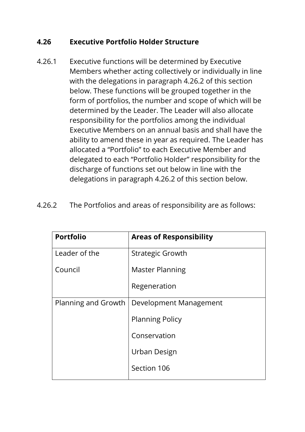## **4.26 Executive Portfolio Holder Structure**

- 4.26.1 Executive functions will be determined by Executive Members whether acting collectively or individually in line with the delegations in paragraph 4.26.2 of this section below. These functions will be grouped together in the form of portfolios, the number and scope of which will be determined by the Leader. The Leader will also allocate responsibility for the portfolios among the individual Executive Members on an annual basis and shall have the ability to amend these in year as required. The Leader has allocated a "Portfolio" to each Executive Member and delegated to each "Portfolio Holder" responsibility for the discharge of functions set out below in line with the delegations in paragraph 4.26.2 of this section below.
- 4.26.2 The Portfolios and areas of responsibility are as follows:

| <b>Portfolio</b>    | <b>Areas of Responsibility</b> |
|---------------------|--------------------------------|
| Leader of the       | <b>Strategic Growth</b>        |
| Council             | <b>Master Planning</b>         |
|                     | Regeneration                   |
| Planning and Growth | Development Management         |
|                     | <b>Planning Policy</b>         |
|                     | Conservation                   |
|                     | Urban Design                   |
|                     | Section 106                    |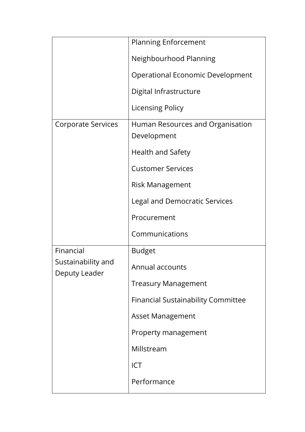|                                                  | <b>Planning Enforcement</b>                     |
|--------------------------------------------------|-------------------------------------------------|
|                                                  | Neighbourhood Planning                          |
|                                                  | <b>Operational Economic Development</b>         |
|                                                  | Digital Infrastructure                          |
|                                                  | <b>Licensing Policy</b>                         |
| Corporate Services                               | Human Resources and Organisation<br>Development |
|                                                  | Health and Safety                               |
|                                                  | <b>Customer Services</b>                        |
|                                                  | <b>Risk Management</b>                          |
|                                                  | <b>Legal and Democratic Services</b>            |
|                                                  | Procurement                                     |
|                                                  | Communications                                  |
| Financial<br>Sustainability and<br>Deputy Leader | <b>Budget</b>                                   |
|                                                  | Annual accounts                                 |
|                                                  | <b>Treasury Management</b>                      |
|                                                  | <b>Financial Sustainability Committee</b>       |
|                                                  | <b>Asset Management</b>                         |
|                                                  | Property management                             |
|                                                  | Millstream                                      |
|                                                  | <b>ICT</b>                                      |
|                                                  | Performance                                     |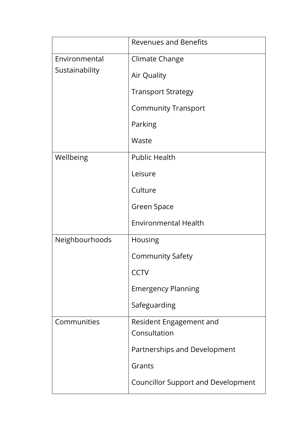|                                 | <b>Revenues and Benefits</b>              |
|---------------------------------|-------------------------------------------|
| Environmental<br>Sustainability | Climate Change                            |
|                                 | Air Quality                               |
|                                 | <b>Transport Strategy</b>                 |
|                                 | <b>Community Transport</b>                |
|                                 | Parking                                   |
|                                 | Waste                                     |
| Wellbeing                       | <b>Public Health</b>                      |
|                                 | Leisure                                   |
|                                 | Culture                                   |
|                                 | Green Space                               |
|                                 | <b>Environmental Health</b>               |
| Neighbourhoods                  | Housing                                   |
|                                 | <b>Community Safety</b>                   |
|                                 | <b>CCTV</b>                               |
|                                 | <b>Emergency Planning</b>                 |
|                                 | Safeguarding                              |
| Communities                     | Resident Engagement and<br>Consultation   |
|                                 | Partnerships and Development              |
|                                 | Grants                                    |
|                                 | <b>Councillor Support and Development</b> |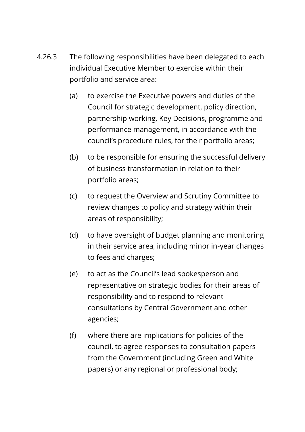- 4.26.3 The following responsibilities have been delegated to each individual Executive Member to exercise within their portfolio and service area:
	- (a) to exercise the Executive powers and duties of the Council for strategic development, policy direction, partnership working, Key Decisions, programme and performance management, in accordance with the council's procedure rules, for their portfolio areas;
	- (b) to be responsible for ensuring the successful delivery of business transformation in relation to their portfolio areas;
	- (c) to request the Overview and Scrutiny Committee to review changes to policy and strategy within their areas of responsibility;
	- (d) to have oversight of budget planning and monitoring in their service area, including minor in-year changes to fees and charges;
	- (e) to act as the Council's lead spokesperson and representative on strategic bodies for their areas of responsibility and to respond to relevant consultations by Central Government and other agencies;
	- (f) where there are implications for policies of the council, to agree responses to consultation papers from the Government (including Green and White papers) or any regional or professional body;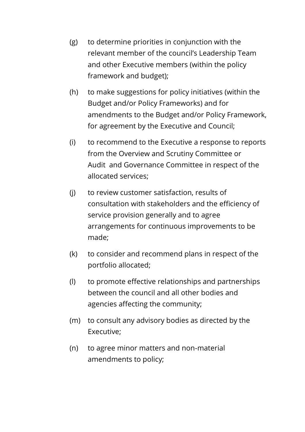- (g) to determine priorities in conjunction with the relevant member of the council's Leadership Team and other Executive members (within the policy framework and budget);
- (h) to make suggestions for policy initiatives (within the Budget and/or Policy Frameworks) and for amendments to the Budget and/or Policy Framework, for agreement by the Executive and Council;
- (i) to recommend to the Executive a response to reports from the Overview and Scrutiny Committee or Audit and Governance Committee in respect of the allocated services;
- (j) to review customer satisfaction, results of consultation with stakeholders and the efficiency of service provision generally and to agree arrangements for continuous improvements to be made;
- (k) to consider and recommend plans in respect of the portfolio allocated;
- (l) to promote effective relationships and partnerships between the council and all other bodies and agencies affecting the community;
- (m) to consult any advisory bodies as directed by the Executive;
- (n) to agree minor matters and non-material amendments to policy;